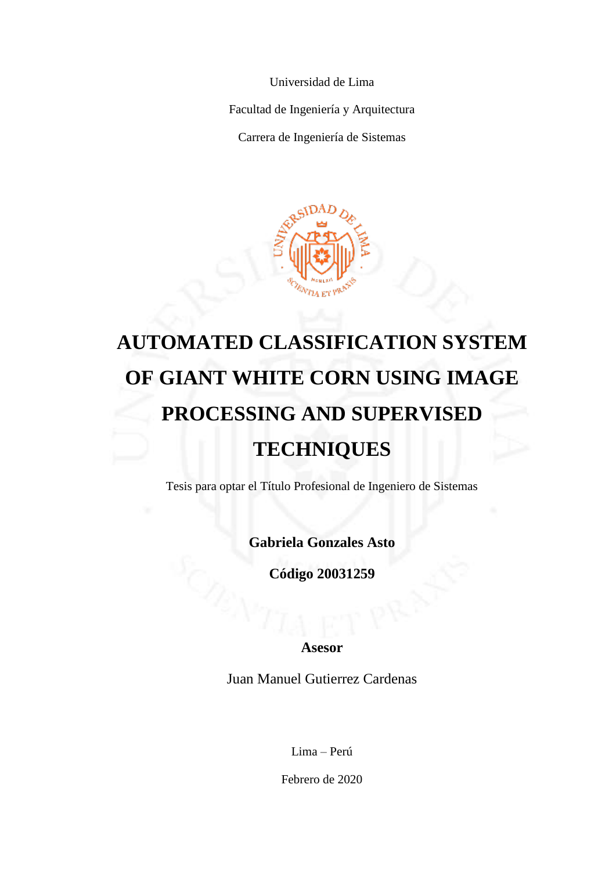Universidad de Lima

Facultad de Ingeniería y Arquitectura

Carrera de Ingeniería de Sistemas



## **AUTOMATED CLASSIFICATION SYSTEM OF GIANT WHITE CORN USING IMAGE PROCESSING AND SUPERVISED TECHNIQUES**

Tesis para optar el Título Profesional de Ingeniero de Sistemas

**Gabriela Gonzales Asto**

**Código 20031259**

**Asesor**

Juan Manuel Gutierrez Cardenas

Lima – Perú

Febrero de 2020